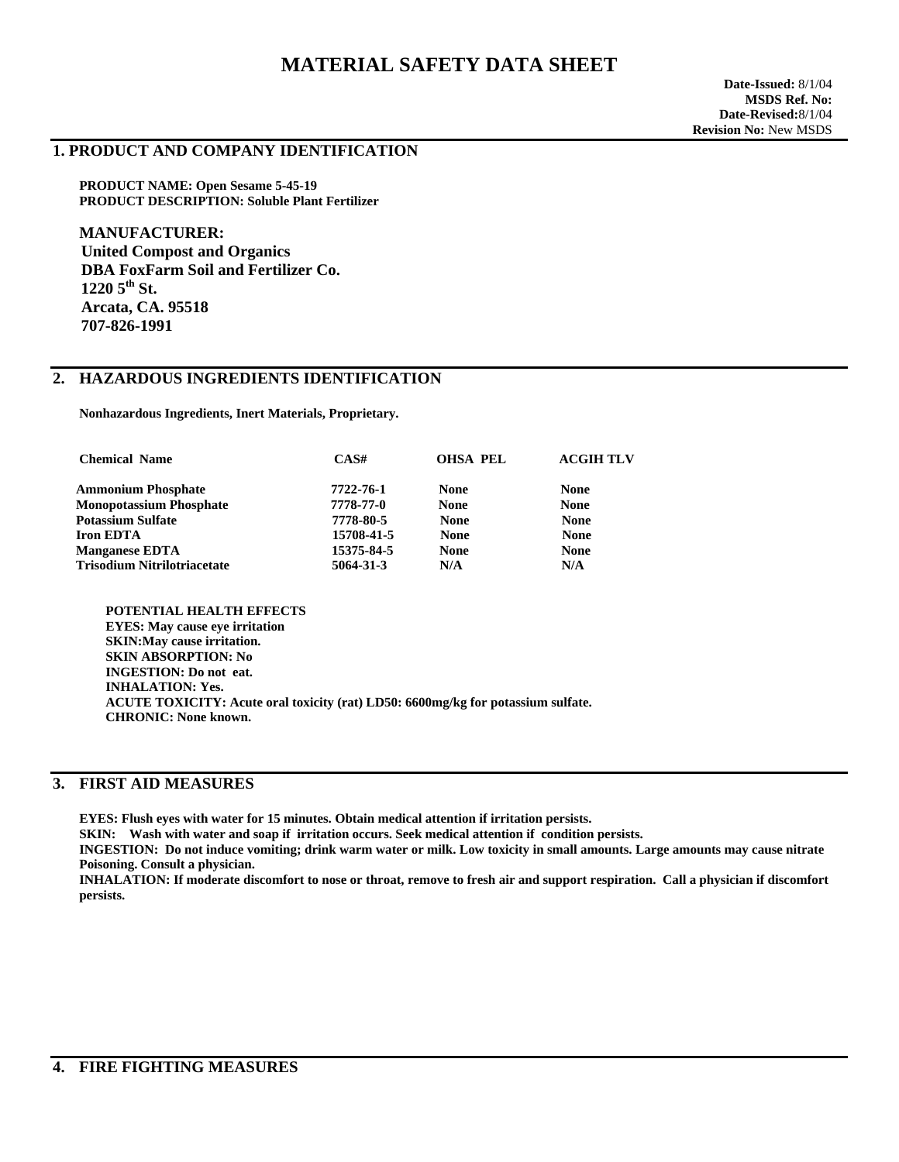# **MATERIAL SAFETY DATA SHEET**

#### **1. PRODUCT AND COMPANY IDENTIFICATION**

**PRODUCT NAME: Open Sesame 5-45-19 PRODUCT DESCRIPTION: Soluble Plant Fertilizer** 

**MANUFACTURER: United Compost and Organics DBA FoxFarm Soil and Fertilizer Co.**   $12205$ <sup>th</sup> St.  **Arcata, CA. 95518 707-826-1991** 

## **2. HAZARDOUS INGREDIENTS IDENTIFICATION**

 **Nonhazardous Ingredients, Inert Materials, Proprietary.** 

| <b>Chemical Name</b>               | CAS#       | <b>OHSA PEL</b> | <b>ACGIH TLV</b> |
|------------------------------------|------------|-----------------|------------------|
| <b>Ammonium Phosphate</b>          | 7722-76-1  | <b>None</b>     | <b>None</b>      |
| <b>Monopotassium Phosphate</b>     | 7778-77-0  | <b>None</b>     | <b>None</b>      |
| <b>Potassium Sulfate</b>           | 7778-80-5  | <b>None</b>     | <b>None</b>      |
| <b>Iron EDTA</b>                   | 15708-41-5 | <b>None</b>     | <b>None</b>      |
| <b>Manganese EDTA</b>              | 15375-84-5 | <b>None</b>     | <b>None</b>      |
| <b>Trisodium Nitrilotriacetate</b> | 5064-31-3  | N/A             | N/A              |
|                                    |            |                 |                  |

 **POTENTIAL HEALTH EFFECTS EYES: May cause eye irritation SKIN:May cause irritation. SKIN ABSORPTION: No INGESTION: Do not eat. INHALATION: Yes. ACUTE TOXICITY: Acute oral toxicity (rat) LD50: 6600mg/kg for potassium sulfate. CHRONIC: None known.** 

## **3. FIRST AID MEASURES**

**EYES: Flush eyes with water for 15 minutes. Obtain medical attention if irritation persists.**

 **SKIN: Wash with water and soap if irritation occurs. Seek medical attention if condition persists.**

 **INGESTION: Do not induce vomiting; drink warm water or milk. Low toxicity in small amounts. Large amounts may cause nitrate Poisoning. Consult a physician.**

 **INHALATION: If moderate discomfort to nose or throat, remove to fresh air and support respiration. Call a physician if discomfort persists.**